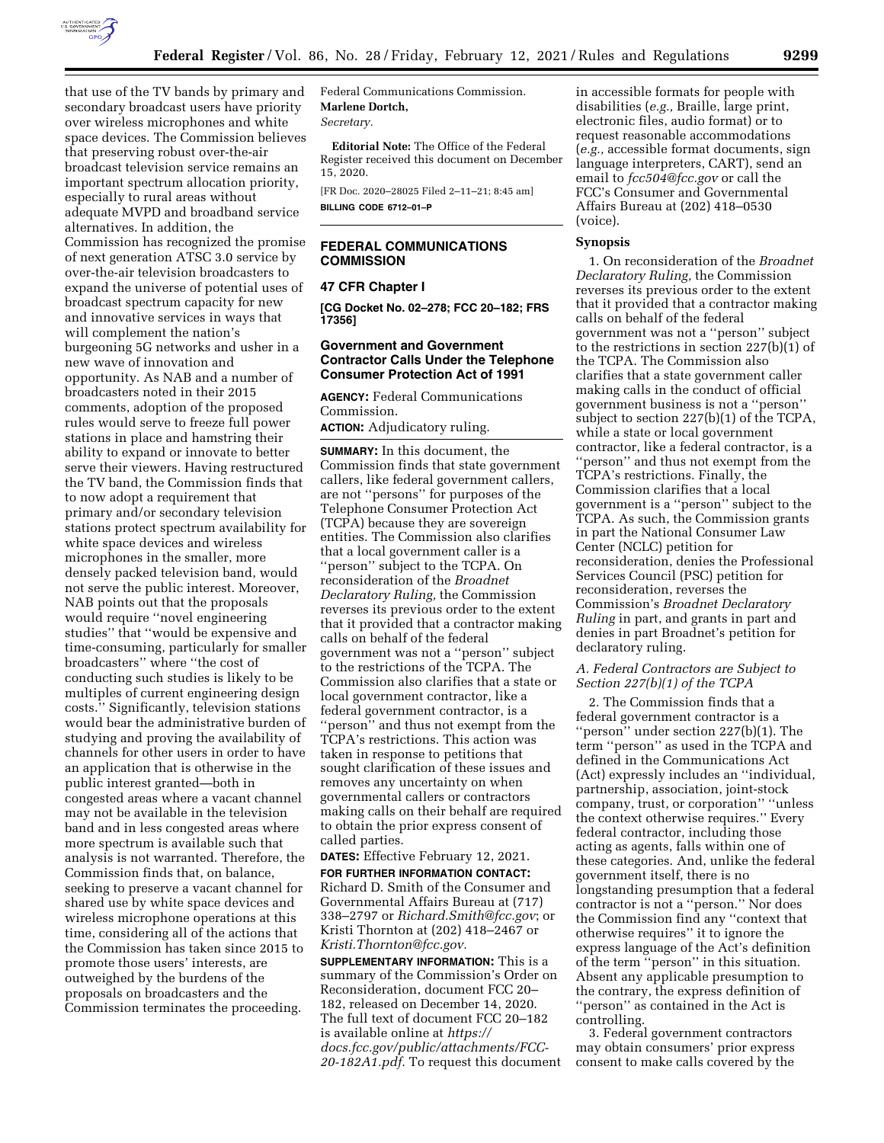

that use of the TV bands by primary and secondary broadcast users have priority over wireless microphones and white space devices. The Commission believes that preserving robust over-the-air broadcast television service remains an important spectrum allocation priority, especially to rural areas without adequate MVPD and broadband service alternatives. In addition, the Commission has recognized the promise of next generation ATSC 3.0 service by over-the-air television broadcasters to expand the universe of potential uses of broadcast spectrum capacity for new and innovative services in ways that will complement the nation's burgeoning 5G networks and usher in a new wave of innovation and opportunity. As NAB and a number of broadcasters noted in their 2015 comments, adoption of the proposed rules would serve to freeze full power stations in place and hamstring their ability to expand or innovate to better serve their viewers. Having restructured the TV band, the Commission finds that to now adopt a requirement that primary and/or secondary television stations protect spectrum availability for white space devices and wireless microphones in the smaller, more densely packed television band, would not serve the public interest. Moreover, NAB points out that the proposals would require ''novel engineering studies'' that ''would be expensive and time-consuming, particularly for smaller broadcasters'' where ''the cost of conducting such studies is likely to be multiples of current engineering design costs.'' Significantly, television stations would bear the administrative burden of studying and proving the availability of channels for other users in order to have an application that is otherwise in the public interest granted—both in congested areas where a vacant channel may not be available in the television band and in less congested areas where more spectrum is available such that analysis is not warranted. Therefore, the Commission finds that, on balance, seeking to preserve a vacant channel for shared use by white space devices and wireless microphone operations at this time, considering all of the actions that the Commission has taken since 2015 to promote those users' interests, are outweighed by the burdens of the proposals on broadcasters and the Commission terminates the proceeding.

Federal Communications Commission. **Marlene Dortch,**  *Secretary.* 

**Editorial Note:** The Office of the Federal Register received this document on December 15, 2020.

[FR Doc. 2020–28025 Filed 2–11–21; 8:45 am] **BILLING CODE 6712–01–P** 

# **FEDERAL COMMUNICATIONS COMMISSION**

### **47 CFR Chapter I**

**[CG Docket No. 02–278; FCC 20–182; FRS 17356]** 

## **Government and Government Contractor Calls Under the Telephone Consumer Protection Act of 1991**

**AGENCY:** Federal Communications Commission.

**ACTION:** Adjudicatory ruling.

**SUMMARY:** In this document, the Commission finds that state government callers, like federal government callers, are not ''persons'' for purposes of the Telephone Consumer Protection Act (TCPA) because they are sovereign entities. The Commission also clarifies that a local government caller is a ''person'' subject to the TCPA. On reconsideration of the *Broadnet Declaratory Ruling,* the Commission reverses its previous order to the extent that it provided that a contractor making calls on behalf of the federal government was not a ''person'' subject to the restrictions of the TCPA. The Commission also clarifies that a state or local government contractor, like a federal government contractor, is a ''person'' and thus not exempt from the TCPA's restrictions. This action was taken in response to petitions that sought clarification of these issues and removes any uncertainty on when governmental callers or contractors making calls on their behalf are required to obtain the prior express consent of called parties.

# **DATES:** Effective February 12, 2021.

**FOR FURTHER INFORMATION CONTACT:**  Richard D. Smith of the Consumer and Governmental Affairs Bureau at (717) 338–2797 or *[Richard.Smith@fcc.gov](mailto:Richard.Smith@fcc.gov)*; or Kristi Thornton at (202) 418–2467 or *[Kristi.Thornton@fcc.gov.](mailto:Kristi.Thornton@fcc.gov)* 

**SUPPLEMENTARY INFORMATION:** This is a summary of the Commission's Order on Reconsideration, document FCC 20– 182, released on December 14, 2020. The full text of document FCC 20–182 is available online at *[https://](https://docs.fcc.gov/public/attachments/FCC-20-182A1.pdf) [docs.fcc.gov/public/attachments/FCC-](https://docs.fcc.gov/public/attachments/FCC-20-182A1.pdf)[20-182A1.pdf.](https://docs.fcc.gov/public/attachments/FCC-20-182A1.pdf)* To request this document in accessible formats for people with disabilities (*e.g.,* Braille, large print, electronic files, audio format) or to request reasonable accommodations (*e.g.,* accessible format documents, sign language interpreters, CART), send an email to *[fcc504@fcc.gov](mailto:fcc504@fcc.gov)* or call the FCC's Consumer and Governmental Affairs Bureau at (202) 418–0530 (voice).

## **Synopsis**

1. On reconsideration of the *Broadnet Declaratory Ruling,* the Commission reverses its previous order to the extent that it provided that a contractor making calls on behalf of the federal government was not a ''person'' subject to the restrictions in section 227(b)(1) of the TCPA. The Commission also clarifies that a state government caller making calls in the conduct of official government business is not a ''person'' subject to section 227(b)(1) of the TCPA, while a state or local government contractor, like a federal contractor, is a ''person'' and thus not exempt from the TCPA's restrictions. Finally, the Commission clarifies that a local government is a ''person'' subject to the TCPA. As such, the Commission grants in part the National Consumer Law Center (NCLC) petition for reconsideration, denies the Professional Services Council (PSC) petition for reconsideration, reverses the Commission's *Broadnet Declaratory Ruling* in part, and grants in part and denies in part Broadnet's petition for declaratory ruling.

# *A. Federal Contractors are Subject to Section 227(b)(1) of the TCPA*

2. The Commission finds that a federal government contractor is a ''person'' under section 227(b)(1). The term ''person'' as used in the TCPA and defined in the Communications Act (Act) expressly includes an ''individual, partnership, association, joint-stock company, trust, or corporation'' ''unless the context otherwise requires.'' Every federal contractor, including those acting as agents, falls within one of these categories. And, unlike the federal government itself, there is no longstanding presumption that a federal contractor is not a ''person.'' Nor does the Commission find any ''context that otherwise requires'' it to ignore the express language of the Act's definition of the term ''person'' in this situation. Absent any applicable presumption to the contrary, the express definition of ''person'' as contained in the Act is controlling.

3. Federal government contractors may obtain consumers' prior express consent to make calls covered by the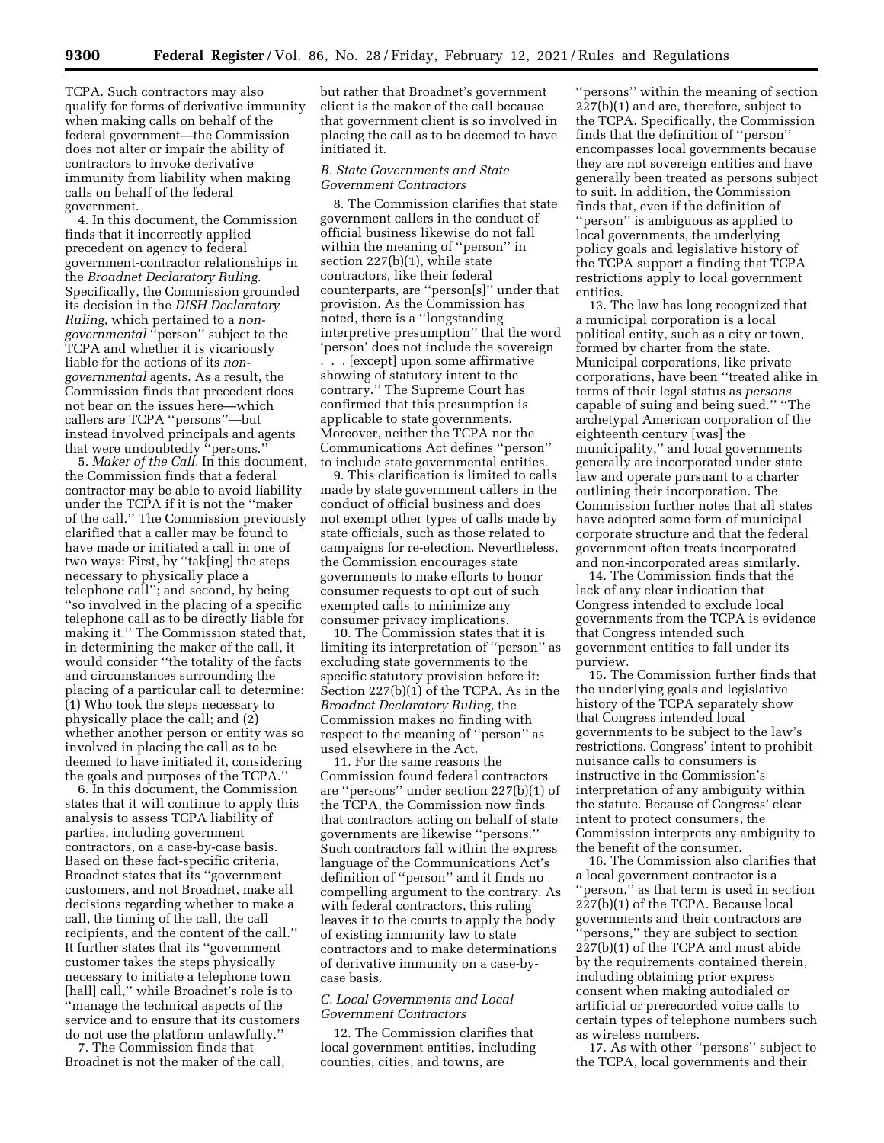TCPA. Such contractors may also qualify for forms of derivative immunity when making calls on behalf of the federal government—the Commission does not alter or impair the ability of contractors to invoke derivative immunity from liability when making calls on behalf of the federal government.

4. In this document, the Commission finds that it incorrectly applied precedent on agency to federal government-contractor relationships in the *Broadnet Declaratory Ruling.*  Specifically, the Commission grounded its decision in the *DISH Declaratory Ruling,* which pertained to a *nongovernmental* ''person'' subject to the TCPA and whether it is vicariously liable for the actions of its *nongovernmental* agents. As a result, the Commission finds that precedent does not bear on the issues here—which callers are TCPA ''persons''—but instead involved principals and agents that were undoubtedly ''persons.''

5. *Maker of the Call.* In this document, the Commission finds that a federal contractor may be able to avoid liability under the TCPA if it is not the ''maker of the call.'' The Commission previously clarified that a caller may be found to have made or initiated a call in one of two ways: First, by ''tak[ing] the steps necessary to physically place a telephone call''; and second, by being ''so involved in the placing of a specific telephone call as to be directly liable for making it.'' The Commission stated that, in determining the maker of the call, it would consider ''the totality of the facts and circumstances surrounding the placing of a particular call to determine: (1) Who took the steps necessary to physically place the call; and (2) whether another person or entity was so involved in placing the call as to be deemed to have initiated it, considering the goals and purposes of the TCPA.''

6. In this document, the Commission states that it will continue to apply this analysis to assess TCPA liability of parties, including government contractors, on a case-by-case basis. Based on these fact-specific criteria, Broadnet states that its ''government customers, and not Broadnet, make all decisions regarding whether to make a call, the timing of the call, the call recipients, and the content of the call.'' It further states that its ''government customer takes the steps physically necessary to initiate a telephone town [hall] call," while Broadnet's role is to ''manage the technical aspects of the service and to ensure that its customers do not use the platform unlawfully.''

7. The Commission finds that Broadnet is not the maker of the call, but rather that Broadnet's government client is the maker of the call because that government client is so involved in placing the call as to be deemed to have initiated it.

#### *B. State Governments and State Government Contractors*

8. The Commission clarifies that state government callers in the conduct of official business likewise do not fall within the meaning of ''person'' in section 227(b)(1), while state contractors, like their federal counterparts, are ''person[s]'' under that provision. As the Commission has noted, there is a ''longstanding interpretive presumption'' that the word 'person' does not include the sovereign . . . [except] upon some affirmative showing of statutory intent to the contrary.'' The Supreme Court has confirmed that this presumption is applicable to state governments. Moreover, neither the TCPA nor the Communications Act defines ''person'' to include state governmental entities.

9. This clarification is limited to calls made by state government callers in the conduct of official business and does not exempt other types of calls made by state officials, such as those related to campaigns for re-election. Nevertheless, the Commission encourages state governments to make efforts to honor consumer requests to opt out of such exempted calls to minimize any consumer privacy implications.

10. The Commission states that it is limiting its interpretation of ''person'' as excluding state governments to the specific statutory provision before it: Section 227(b)(1) of the TCPA. As in the *Broadnet Declaratory Ruling,* the Commission makes no finding with respect to the meaning of ''person'' as used elsewhere in the Act.

11. For the same reasons the Commission found federal contractors are ''persons'' under section 227(b)(1) of the TCPA, the Commission now finds that contractors acting on behalf of state governments are likewise ''persons.'' Such contractors fall within the express language of the Communications Act's definition of ''person'' and it finds no compelling argument to the contrary. As with federal contractors, this ruling leaves it to the courts to apply the body of existing immunity law to state contractors and to make determinations of derivative immunity on a case-bycase basis.

#### *C. Local Governments and Local Government Contractors*

12. The Commission clarifies that local government entities, including counties, cities, and towns, are

''persons'' within the meaning of section 227(b)(1) and are, therefore, subject to the TCPA. Specifically, the Commission finds that the definition of ''person'' encompasses local governments because they are not sovereign entities and have generally been treated as persons subject to suit. In addition, the Commission finds that, even if the definition of ''person'' is ambiguous as applied to local governments, the underlying policy goals and legislative history of the TCPA support a finding that TCPA restrictions apply to local government entities.

13. The law has long recognized that a municipal corporation is a local political entity, such as a city or town, formed by charter from the state. Municipal corporations, like private corporations, have been ''treated alike in terms of their legal status as *persons*  capable of suing and being sued.'' ''The archetypal American corporation of the eighteenth century [was] the municipality,'' and local governments generally are incorporated under state law and operate pursuant to a charter outlining their incorporation. The Commission further notes that all states have adopted some form of municipal corporate structure and that the federal government often treats incorporated and non-incorporated areas similarly.

14. The Commission finds that the lack of any clear indication that Congress intended to exclude local governments from the TCPA is evidence that Congress intended such government entities to fall under its purview.

15. The Commission further finds that the underlying goals and legislative history of the TCPA separately show that Congress intended local governments to be subject to the law's restrictions. Congress' intent to prohibit nuisance calls to consumers is instructive in the Commission's interpretation of any ambiguity within the statute. Because of Congress' clear intent to protect consumers, the Commission interprets any ambiguity to the benefit of the consumer.

16. The Commission also clarifies that a local government contractor is a ''person,'' as that term is used in section 227(b)(1) of the TCPA. Because local governments and their contractors are 'persons," they are subject to section 227(b)(1) of the TCPA and must abide by the requirements contained therein, including obtaining prior express consent when making autodialed or artificial or prerecorded voice calls to certain types of telephone numbers such as wireless numbers.

17. As with other ''persons'' subject to the TCPA, local governments and their